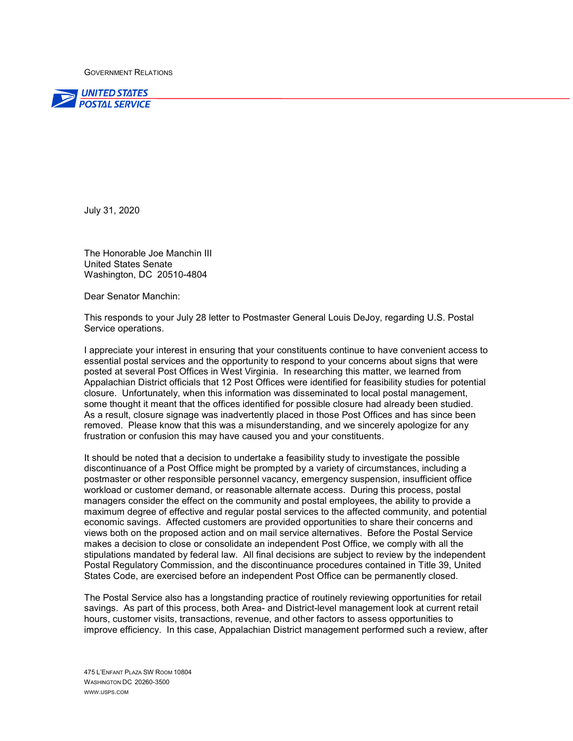GOVERNMENT RELATIONS



July 31, 2020

The Honorable Joe Manchin III United States Senate Washington, DC 20510-4804

Dear Senator Manchin:

This responds to your July 28 letter to Postmaster General Louis DeJoy, regarding U.S. Postal Service operations.

I appreciate your interest in ensuring that your constituents continue to have convenient access to essential postal services and the opportunity to respond to your concerns about signs that were posted at several Post Offices in West Virginia. In researching this matter, we learned from Appalachian District officials that 12 Post Offices were identified for feasibility studies for potential closure. Unfortunately, when this information was disseminated to local postal management, some thought it meant that the offices identified for possible closure had already been studied. As a result, closure signage was inadvertently placed in those Post Offices and has since been removed. Please know that this was a misunderstanding, and we sincerely apologize for any frustration or confusion this may have caused you and your constituents.

It should be noted that a decision to undertake a feasibility study to investigate the possible discontinuance of a Post Office might be prompted by a variety of circumstances, including a postmaster or other responsible personnel vacancy, emergency suspension, insufficient office workload or customer demand, or reasonable alternate access. During this process, postal managers consider the effect on the community and postal employees, the ability to provide a maximum degree of effective and regular postal services to the affected community, and potential economic savings. Affected customers are provided opportunities to share their concerns and views both on the proposed action and on mail service alternatives. Before the Postal Service makes a decision to close or consolidate an independent Post Office, we comply with all the stipulations mandated by federal law. All final decisions are subject to review by the independent Postal Regulatory Commission, and the discontinuance procedures contained in Title 39, United States Code, are exercised before an independent Post Office can be permanently closed.

The Postal Service also has a longstanding practice of routinely reviewing opportunities for retail savings. As part of this process, both Area- and District-level management look at current retail hours, customer visits, transactions, revenue, and other factors to assess opportunities to improve efficiency. In this case, Appalachian District management performed such a review, after